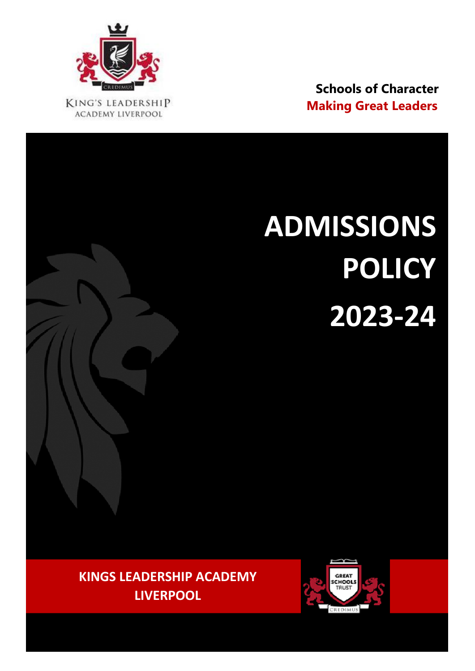

 **Schools of Character KING'S LEADERSHIP Making Great Leaders Making Great Leaders** 

# **ADMISSIONS POLICY 2023-24**

**KINGS LEADERSHIP ACADEMY LIVERPOOL**

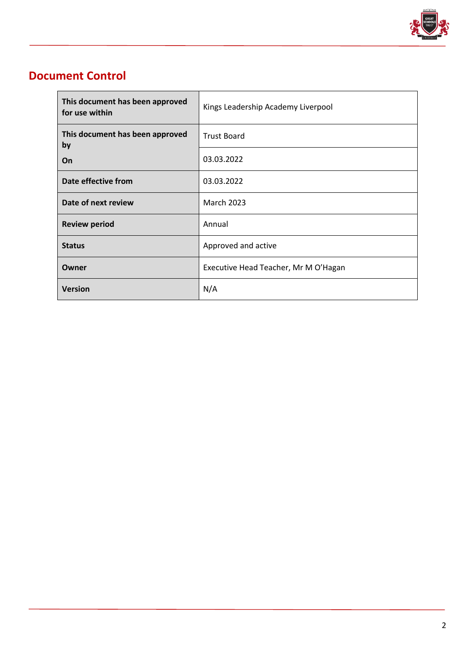

# **Document Control**

 $\overline{a}$ 

| This document has been approved<br>for use within | Kings Leadership Academy Liverpool   |
|---------------------------------------------------|--------------------------------------|
| This document has been approved<br>by             | <b>Trust Board</b>                   |
| On                                                | 03.03.2022                           |
| Date effective from                               | 03.03.2022                           |
| Date of next review                               | <b>March 2023</b>                    |
| <b>Review period</b>                              | Annual                               |
| <b>Status</b>                                     | Approved and active                  |
| Owner                                             | Executive Head Teacher, Mr M O'Hagan |
| <b>Version</b>                                    | N/A                                  |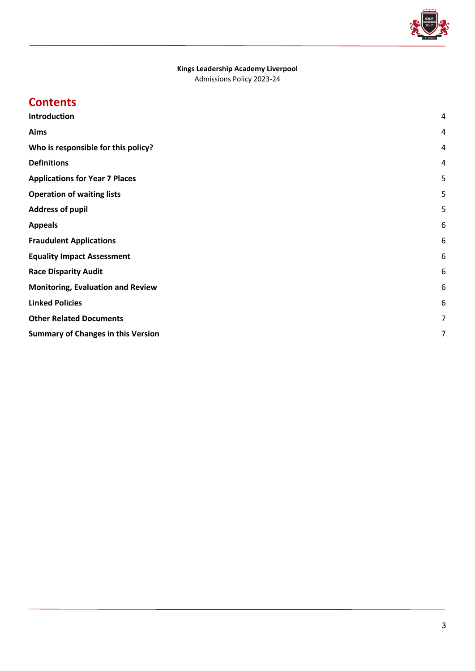

# **Kings Leadership Academy Liverpool**

Admissions Policy 2023-24

# **Contents**

| <b>Introduction</b>                       | 4 |
|-------------------------------------------|---|
| Aims                                      | 4 |
| Who is responsible for this policy?       | 4 |
| <b>Definitions</b>                        | 4 |
| <b>Applications for Year 7 Places</b>     | 5 |
| <b>Operation of waiting lists</b>         | 5 |
| <b>Address of pupil</b>                   | 5 |
| <b>Appeals</b>                            | 6 |
| <b>Fraudulent Applications</b>            | 6 |
| <b>Equality Impact Assessment</b>         | 6 |
| <b>Race Disparity Audit</b>               | 6 |
| <b>Monitoring, Evaluation and Review</b>  | 6 |
| <b>Linked Policies</b>                    | 6 |
| <b>Other Related Documents</b>            | 7 |
| <b>Summary of Changes in this Version</b> | 7 |
|                                           |   |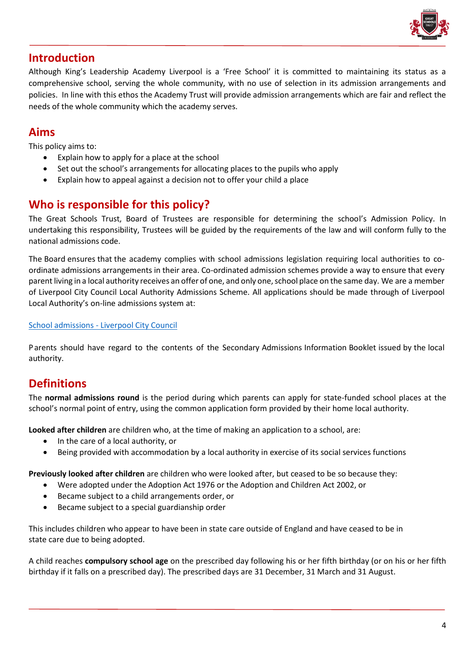

# <span id="page-3-0"></span>**Introduction**

Although King's Leadership Academy Liverpool is a 'Free School' it is committed to maintaining its status as a comprehensive school, serving the whole community, with no use of selection in its admission arrangements and policies. In line with this ethos the Academy Trust will provide admission arrangements which are fair and reflect the needs of the whole community which the academy serves.

# <span id="page-3-1"></span>**Aims**

This policy aims to:

- Explain how to apply for a place at the school
- Set out the school's arrangements for allocating places to the pupils who apply
- Explain how to appeal against a decision not to offer your child a place

#### <span id="page-3-2"></span>**Who is responsible for this policy?**

The Great Schools Trust, Board of Trustees are responsible for determining the school's Admission Policy. In undertaking this responsibility, Trustees will be guided by the requirements of the law and will conform fully to the national admissions code.

The Board ensures that the academy complies with school admissions legislation requiring local authorities to coordinate admissions arrangements in their area. Co-ordinated admission schemes provide a way to ensure that every parentliving in a local authority receives an offer of one, and only one,school place on the same day. We are a member of Liverpool City Council Local Authority Admissions Scheme. All applications should be made through of Liverpool Local Authority's on-line admissions system at:

#### School admissions - [Liverpool City Council](https://liverpool.gov.uk/schools-and-learning/school-admissions/)

Parents should have regard to the contents of the Secondary Admissions Information Booklet issued by the local authority.

# <span id="page-3-3"></span>**Definitions**

The **normal admissions round** is the period during which parents can apply for state-funded school places at the school's normal point of entry, using the common application form provided by their home local authority.

**Looked after children** are children who, at the time of making an application to a school, are:

- In the care of a local authority, or
- Being provided with accommodation by a local authority in exercise of its social services functions

**Previously looked after children** are children who were looked after, but ceased to be so because they:

- Were adopted under the Adoption Act 1976 or the Adoption and Children Act 2002, or
	- Became subject to a child arrangements order, or
	- Became subject to a special guardianship order

This includes children who appear to have been in state care outside of England and have ceased to be in state care due to being adopted.

A child reaches **compulsory school age** on the prescribed day following his or her fifth birthday (or on his or her fifth birthday if it falls on a prescribed day). The prescribed days are 31 December, 31 March and 31 August.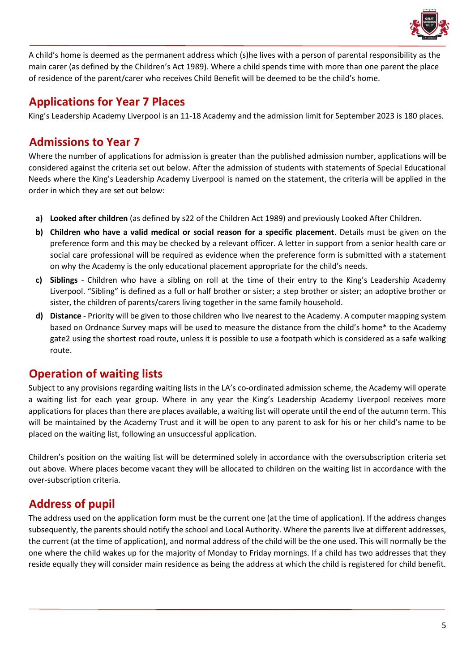

A child's home is deemed as the permanent address which (s)he lives with a person of parental responsibility as the main carer (as defined by the Children's Act 1989). Where a child spends time with more than one parent the place of residence of the parent/carer who receives Child Benefit will be deemed to be the child's home.

## <span id="page-4-0"></span>**Applications for Year 7 Places**

King's Leadership Academy Liverpool is an 11-18 Academy and the admission limit for September 2023 is 180 places.

# **Admissions to Year 7**

Where the number of applications for admission is greater than the published admission number, applications will be considered against the criteria set out below. After the admission of students with statements of Special Educational Needs where the King's Leadership Academy Liverpool is named on the statement, the criteria will be applied in the order in which they are set out below:

- **a) Looked after children** (as defined by s22 of the Children Act 1989) and previously Looked After Children.
- **b) Children who have a valid medical or social reason for a specific placement**. Details must be given on the preference form and this may be checked by a relevant officer. A letter in support from a senior health care or social care professional will be required as evidence when the preference form is submitted with a statement on why the Academy is the only educational placement appropriate for the child's needs.
- **c) Siblings** Children who have a sibling on roll at the time of their entry to the King's Leadership Academy Liverpool. "Sibling" is defined as a full or half brother or sister; a step brother or sister; an adoptive brother or sister, the children of parents/carers living together in the same family household.
- **d) Distance** Priority will be given to those children who live nearest to the Academy. A computer mapping system based on Ordnance Survey maps will be used to measure the distance from the child's home\* to the Academy gate2 using the shortest road route, unless it is possible to use a footpath which is considered as a safe walking route.

# <span id="page-4-1"></span>**Operation of waiting lists**

Subject to any provisions regarding waiting lists in the LA's co-ordinated admission scheme, the Academy will operate a waiting list for each year group. Where in any year the King's Leadership Academy Liverpool receives more applications for places than there are places available, a waiting list will operate until the end of the autumn term. This will be maintained by the Academy Trust and it will be open to any parent to ask for his or her child's name to be placed on the waiting list, following an unsuccessful application.

Children's position on the waiting list will be determined solely in accordance with the oversubscription criteria set out above. Where places become vacant they will be allocated to children on the waiting list in accordance with the over-subscription criteria.

# <span id="page-4-2"></span>**Address of pupil**

The address used on the application form must be the current one (at the time of application). If the address changes subsequently, the parents should notify the school and Local Authority. Where the parents live at different addresses, the current (at the time of application), and normal address of the child will be the one used. This will normally be the one where the child wakes up for the majority of Monday to Friday mornings. If a child has two addresses that they reside equally they will consider main residence as being the address at which the child is registered for child benefit.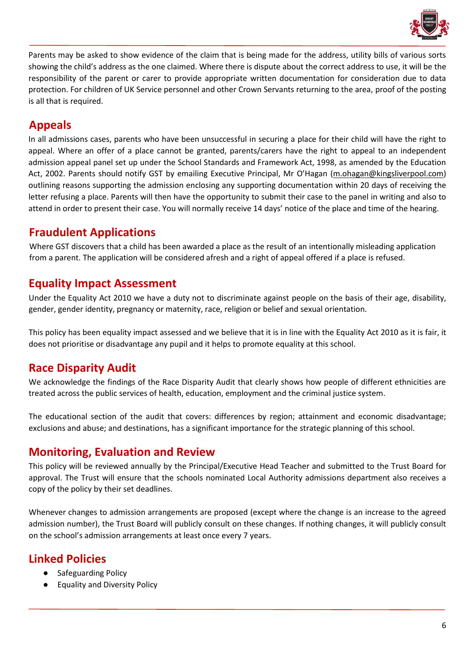

Parents may be asked to show evidence of the claim that is being made for the address, utility bills of various sorts showing the child's address as the one claimed. Where there is dispute about the correct address to use, it will be the responsibility of the parent or carer to provide appropriate written documentation for consideration due to data protection. For children of UK Service personnel and other Crown Servants returning to the area, proof of the posting is all that is required.

# <span id="page-5-0"></span>**Appeals**

In all admissions cases, parents who have been unsuccessful in securing a place for their child will have the right to appeal. Where an offer of a place cannot be granted, parents/carers have the right to appeal to an independent admission appeal panel set up under the School Standards and Framework Act, 1998, as amended by the Education Act, 2002. Parents should notify GST by emailing Executive Principal, Mr O'Hagan [\(m.ohagan@kingsliverpool.com\)](mailto:m.ohagan@kingsliverpool.com) outlining reasons supporting the admission enclosing any supporting documentation within 20 days of receiving the letter refusing a place. Parents will then have the opportunity to submit their case to the panel in writing and also to attend in order to present their case. You will normally receive 14 days' notice of the place and time of the hearing.

## <span id="page-5-1"></span>**Fraudulent Applications**

Where GST discovers that a child has been awarded a place as the result of an intentionally misleading application from a parent. The application will be considered afresh and a right of appeal offered if a place is refused.

## <span id="page-5-2"></span>**Equality Impact Assessment**

Under the Equality Act 2010 we have a duty not to discriminate against people on the basis of their age, disability, gender, gender identity, pregnancy or maternity, race, religion or belief and sexual orientation.

This policy has been equality impact assessed and we believe that it is in line with the Equality Act 2010 as it is fair, it does not prioritise or disadvantage any pupil and it helps to promote equality at this school.

# <span id="page-5-3"></span>**Race Disparity Audit**

We acknowledge the findings of the Race Disparity Audit that clearly shows how people of different ethnicities are treated across the public services of health, education, employment and the criminal justice system.

The educational section of the audit that covers: differences by region; attainment and economic disadvantage; exclusions and abuse; and destinations, has a significant importance for the strategic planning of this school.

#### <span id="page-5-4"></span>**Monitoring, Evaluation and Review**

This policy will be reviewed annually by the Principal/Executive Head Teacher and submitted to the Trust Board for approval. The Trust will ensure that the schools nominated Local Authority admissions department also receives a copy of the policy by their set deadlines.

Whenever changes to admission arrangements are proposed (except where the change is an increase to the agreed admission number), the Trust Board will publicly consult on these changes. If nothing changes, it will publicly consult on the school's admission arrangements at least once every 7 years.

# <span id="page-5-5"></span>**Linked Policies**

- Safeguarding Policy
- Equality and Diversity Policy